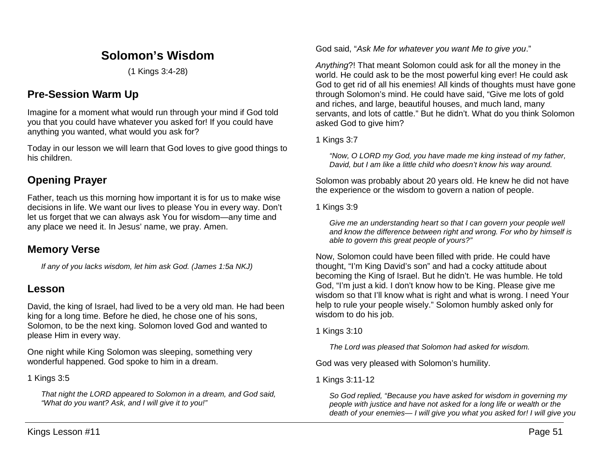# **Solomon's Wisdom**

(1 Kings 3:4-28)

# **Pre-Session Warm Up**

Imagine for a moment what would run through your mind if God told you that you could have whatever you asked for! If you could have anything you wanted, what would you ask for?

Today in our lesson we will learn that God loves to give good things to his children.

### **Opening Prayer**

Father, teach us this morning how important it is for us to make wise decisions in life. We want our lives to please You in every way. Don't let us forget that we can always ask You for wisdom—any time and any place we need it. In Jesus' name, we pray. Amen.

### **Memory Verse**

*If any of you lacks wisdom, let him ask God. (James 1:5a NKJ)*

### **Lesson**

David, the king of Israel, had lived to be a very old man. He had been king for a long time. Before he died, he chose one of his sons, Solomon, to be the next king. Solomon loved God and wanted to please Him in every way.

One night while King Solomon was sleeping, something very wonderful happened. God spoke to him in a dream.

1 Kings 3:5

*That night the LORD appeared to Solomon in a dream, and God said, "What do you want? Ask, and I will give it to you!"*

God said, "*Ask Me for whatever you want Me to give you*."

*Anything*?! That meant Solomon could ask for all the money in the world. He could ask to be the most powerful king ever! He could ask God to get rid of all his enemies! All kinds of thoughts must have gone through Solomon's mind. He could have said, "Give me lots of gold and riches, and large, beautiful houses, and much land, many servants, and lots of cattle." But he didn't. What do you think Solomon asked God to give him?

1 Kings 3:7

*"Now, O LORD my God, you have made me king instead of my father, David, but I am like a little child who doesn't know his way around.*

Solomon was probably about 20 years old. He knew he did not have the experience or the wisdom to govern a nation of people.

1 Kings 3:9

*Give me an understanding heart so that I can govern your people well and know the difference between right and wrong. For who by himself is able to govern this great people of yours?"*

Now, Solomon could have been filled with pride. He could have thought, "I'm King David's son" and had a cocky attitude about becoming the King of Israel. But he didn't. He was humble. He told God, "I'm just a kid. I don't know how to be King. Please give me wisdom so that I'll know what is right and what is wrong. I need Your help to rule your people wisely." Solomon humbly asked only for wisdom to do his job.

1 Kings 3:10

*The Lord was pleased that Solomon had asked for wisdom.*

God was very pleased with Solomon's humility.

1 Kings 3:11-12

*So God replied, "Because you have asked for wisdom in governing my people with justice and have not asked for a long life or wealth or the death of your enemies— I will give you what you asked for! I will give you*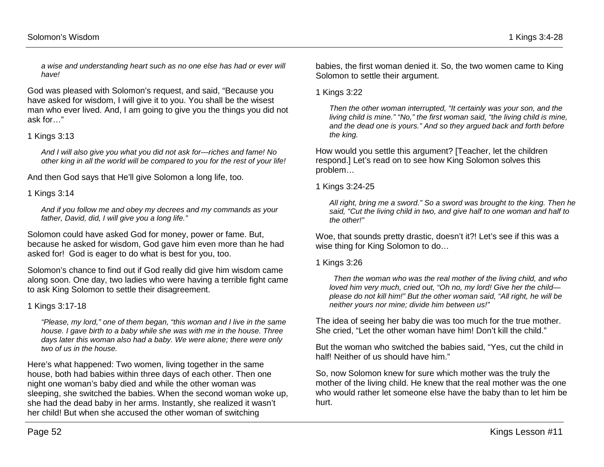*a wise and understanding heart such as no one else has had or ever will have!*

God was pleased with Solomon's request, and said, "Because you have asked for wisdom, I will give it to you. You shall be the wisest man who ever lived. And, I am going to give you the things you did not ask for…"

#### 1 Kings 3:13

*And I will also give you what you did not ask for—riches and fame! No other king in all the world will be compared to you for the rest of your life!*

And then God says that He'll give Solomon a long life, too.

#### 1 Kings 3:14

*And if you follow me and obey my decrees and my commands as your father, David, did, I will give you a long life."*

Solomon could have asked God for money, power or fame. But, because he asked for wisdom, God gave him even more than he had asked for! God is eager to do what is best for you, too.

Solomon's chance to find out if God really did give him wisdom came along soon. One day, two ladies who were having a terrible fight came to ask King Solomon to settle their disagreement.

1 Kings 3:17-18

*"Please, my lord," one of them began, "this woman and I live in the same house. I gave birth to a baby while she was with me in the house. Three days later this woman also had a baby. We were alone; there were only two of us in the house.* 

Here's what happened: Two women, living together in the same house, both had babies within three days of each other. Then one night one woman's baby died and while the other woman was sleeping, she switched the babies. When the second woman woke up, she had the dead baby in her arms. Instantly, she realized it wasn't her child! But when she accused the other woman of switching

babies, the first woman denied it. So, the two women came to King Solomon to settle their argument.

1 Kings 3:22

*Then the other woman interrupted, "It certainly was your son, and the living child is mine." "No," the first woman said, "the living child is mine, and the dead one is yours." And so they argued back and forth before the king.*

How would you settle this argument? [Teacher, let the children respond.] Let's read on to see how King Solomon solves this problem…

1 Kings 3:24-25

*All right, bring me a sword." So a sword was brought to the king. Then he said, "Cut the living child in two, and give half to one woman and half to the other!"* 

Woe, that sounds pretty drastic, doesn't it?! Let's see if this was a wise thing for King Solomon to do…

1 Kings 3:26

*Then the woman who was the real mother of the living child, and who loved him very much, cried out, "Oh no, my lord! Give her the child please do not kill him!" But the other woman said, "All right, he will be neither yours nor mine; divide him between us!"*

The idea of seeing her baby die was too much for the true mother. She cried, "Let the other woman have him! Don't kill the child."

But the woman who switched the babies said, "Yes, cut the child in half! Neither of us should have him."

So, now Solomon knew for sure which mother was the truly the mother of the living child. He knew that the real mother was the one who would rather let someone else have the baby than to let him be hurt.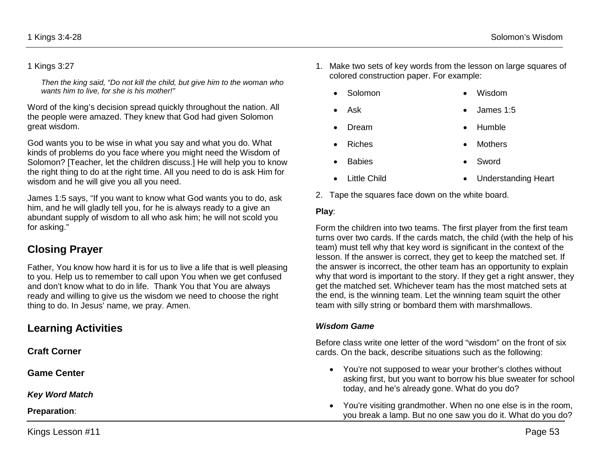#### 1 Kings 3:27

*Then the king said, "Do not kill the child, but give him to the woman who wants him to live, for she is his mother!"* 

Word of the king's decision spread quickly throughout the nation. All the people were amazed. They knew that God had given Solomon great wisdom.

God wants you to be wise in what you say and what you do. What kinds of problems do you face where you might need the Wisdom of Solomon? [Teacher, let the children discuss.] He will help you to know the right thing to do at the right time. All you need to do is ask Him for wisdom and he will give you all you need.

James 1:5 says, "If you want to know what God wants you to do, ask him, and he will gladly tell you, for he is always ready to a give an abundant supply of wisdom to all who ask him; he will not scold you for asking."

## **Closing Prayer**

Father, You know how hard it is for us to live a life that is well pleasing to you. Help us to remember to call upon You when we get confused and don't know what to do in life. Thank You that You are always ready and willing to give us the wisdom we need to choose the right thing to do. In Jesus' name, we pray. Amen.

### **Learning Activities**

**Craft Corner** 

**Game Center**

*Key Word Match*

**Preparation**:

Kings Lesson #11 Page 53

- 1. Make two sets of key words from the lesson on large squares of colored construction paper. For example:
	- Solomon Wisdom
	- Ask James 1:5
	- Dream Humble
	- Riches Mothers
	- Babies Sword
	- Little Child • Understanding Heart
		-
- 2. Tape the squares face down on the white board.

#### **Play**:

Form the children into two teams. The first player from the first team turns over two cards. If the cards match, the child (with the help of his team) must tell why that key word is significant in the context of the lesson. If the answer is correct, they get to keep the matched set. If the answer is incorrect, the other team has an opportunity to explain why that word is important to the story. If they get a right answer, they get the matched set. Whichever team has the most matched sets at the end, is the winning team. Let the winning team squirt the other team with silly string or bombard them with marshmallows.

#### *Wisdom Game*

Before class write one letter of the word "wisdom" on the front of six cards. On the back, describe situations such as the following:

- You're not supposed to wear your brother's clothes without asking first, but you want to borrow his blue sweater for school today, and he's already gone. What do you do?
- You're visiting grandmother. When no one else is in the room, you break a lamp. But no one saw you do it. What do you do?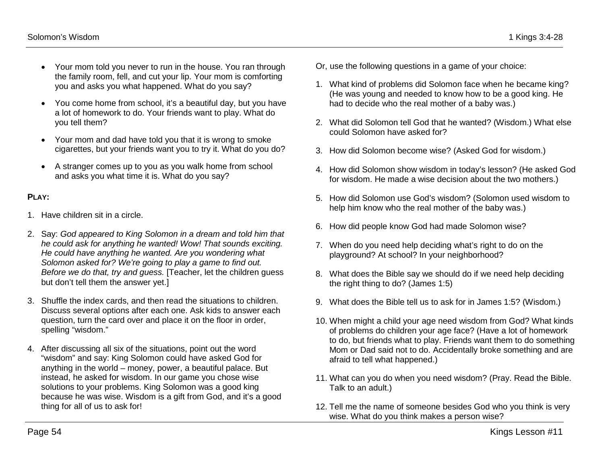- Your mom told you never to run in the house. You ran through the family room, fell, and cut your lip. Your mom is comforting you and asks you what happened. What do you say?
- You come home from school, it's a beautiful day, but you have a lot of homework to do. Your friends want to play. What do you tell them?
- Your mom and dad have told you that it is wrong to smoke cigarettes, but your friends want you to try it. What do you do?
- A stranger comes up to you as you walk home from school and asks you what time it is. What do you say?

#### **PLAY:**

- 1. Have children sit in a circle.
- 2. Say: *God appeared to King Solomon in a dream and told him that he could ask for anything he wanted! Wow! That sounds exciting. He could have anything he wanted. Are you wondering what Solomon asked for? We're going to play a game to find out. Before we do that, try and guess.* [Teacher, let the children guess but don't tell them the answer yet.]
- 3. Shuffle the index cards, and then read the situations to children. Discuss several options after each one. Ask kids to answer each question, turn the card over and place it on the floor in order, spelling "wisdom."
- 4. After discussing all six of the situations, point out the word "wisdom" and say: King Solomon could have asked God for anything in the world – money, power, a beautiful palace. But instead, he asked for wisdom. In our game you chose wise solutions to your problems. King Solomon was a good king because he was wise. Wisdom is a gift from God, and it's a good thing for all of us to ask for!
- Or, use the following questions in a game of your choice:
- 1. What kind of problems did Solomon face when he became king? (He was young and needed to know how to be a good king. He had to decide who the real mother of a baby was.)
- 2. What did Solomon tell God that he wanted? (Wisdom.) What else could Solomon have asked for?
- 3. How did Solomon become wise? (Asked God for wisdom.)
- 4. How did Solomon show wisdom in today's lesson? (He asked God for wisdom. He made a wise decision about the two mothers.)
- 5. How did Solomon use God's wisdom? (Solomon used wisdom to help him know who the real mother of the baby was.)
- 6. How did people know God had made Solomon wise?
- 7. When do you need help deciding what's right to do on the playground? At school? In your neighborhood?
- 8. What does the Bible say we should do if we need help deciding the right thing to do? (James 1:5)
- 9. What does the Bible tell us to ask for in James 1:5? (Wisdom.)
- 10. When might a child your age need wisdom from God? What kinds of problems do children your age face? (Have a lot of homework to do, but friends what to play. Friends want them to do something Mom or Dad said not to do. Accidentally broke something and are afraid to tell what happened.)
- 11. What can you do when you need wisdom? (Pray. Read the Bible. Talk to an adult.)
- 12. Tell me the name of someone besides God who you think is very wise. What do you think makes a person wise?